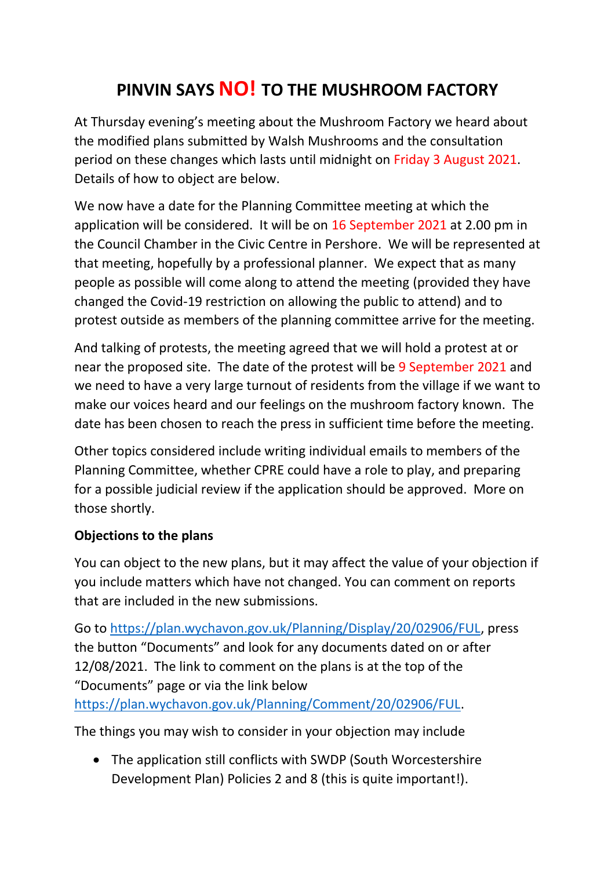## **PINVIN SAYS NO! TO THE MUSHROOM FACTORY**

At Thursday evening's meeting about the Mushroom Factory we heard about the modified plans submitted by Walsh Mushrooms and the consultation period on these changes which lasts until midnight on Friday 3 August 2021. Details of how to object are below.

We now have a date for the Planning Committee meeting at which the application will be considered. It will be on 16 September 2021 at 2.00 pm in the Council Chamber in the Civic Centre in Pershore. We will be represented at that meeting, hopefully by a professional planner. We expect that as many people as possible will come along to attend the meeting (provided they have changed the Covid-19 restriction on allowing the public to attend) and to protest outside as members of the planning committee arrive for the meeting.

And talking of protests, the meeting agreed that we will hold a protest at or near the proposed site. The date of the protest will be 9 September 2021 and we need to have a very large turnout of residents from the village if we want to make our voices heard and our feelings on the mushroom factory known. The date has been chosen to reach the press in sufficient time before the meeting.

Other topics considered include writing individual emails to members of the Planning Committee, whether CPRE could have a role to play, and preparing for a possible judicial review if the application should be approved. More on those shortly.

## **Objections to the plans**

You can object to the new plans, but it may affect the value of your objection if you include matters which have not changed. You can comment on reports that are included in the new submissions.

Go to [https://plan.wychavon.gov.uk/Planning/Display/20/02906/FUL,](https://plan.wychavon.gov.uk/Planning/Display/20/02906/FUL) press the button "Documents" and look for any documents dated on or after 12/08/2021. The link to comment on the plans is at the top of the "Documents" page or via the link below

[https://plan.wychavon.gov.uk/Planning/Comment/20/02906/FUL.](https://plan.wychavon.gov.uk/Planning/Comment/20/02906/FUL)

The things you may wish to consider in your objection may include

• The application still conflicts with SWDP (South Worcestershire Development Plan) Policies 2 and 8 (this is quite important!).